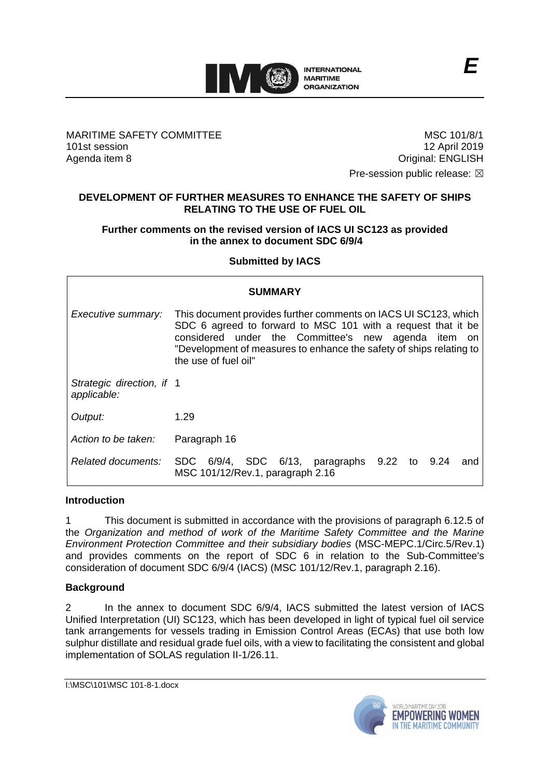

MARITIME SAFETY COMMITTEE 101st session Agenda item 8

MSC 101/8/1 12 April 2019 Original: ENGLISH

Pre-session public release:  $\boxtimes$ 

### **DEVELOPMENT OF FURTHER MEASURES TO ENHANCE THE SAFETY OF SHIPS RELATING TO THE USE OF FUEL OIL**

### **Further comments on the revised version of IACS UI SC123 as provided in the annex to document SDC 6/9/4**

### **Submitted by IACS**

| SUMMARY                                  |                                                                                                                                                                                                                                                                                           |  |  |  |
|------------------------------------------|-------------------------------------------------------------------------------------------------------------------------------------------------------------------------------------------------------------------------------------------------------------------------------------------|--|--|--|
| Executive summary:                       | This document provides further comments on IACS UI SC123, which<br>SDC 6 agreed to forward to MSC 101 with a request that it be<br>considered under the Committee's new agenda item<br>-on<br>"Development of measures to enhance the safety of ships relating to<br>the use of fuel oil" |  |  |  |
| Strategic direction, if 1<br>applicable: |                                                                                                                                                                                                                                                                                           |  |  |  |
| Output:                                  | 1.29                                                                                                                                                                                                                                                                                      |  |  |  |
| Action to be taken:                      | Paragraph 16                                                                                                                                                                                                                                                                              |  |  |  |
| Related documents:                       | SDC 6/9/4, SDC 6/13, paragraphs 9.22 to 9.24<br>and<br>MSC 101/12/Rev.1, paragraph 2.16                                                                                                                                                                                                   |  |  |  |

#### **Introduction**

1 This document is submitted in accordance with the provisions of paragraph 6.12.5 of the *Organization and method of work of the Maritime Safety Committee and the Marine Environment Protection Committee and their subsidiary bodies* (MSC-MEPC.1/Circ.5/Rev.1) and provides comments on the report of SDC 6 in relation to the Sub-Committee's consideration of document SDC 6/9/4 (IACS) (MSC 101/12/Rev.1, paragraph 2.16).

### **Background**

2 In the annex to document SDC 6/9/4, IACS submitted the latest version of IACS Unified Interpretation (UI) SC123, which has been developed in light of typical fuel oil service tank arrangements for vessels trading in Emission Control Areas (ECAs) that use both low sulphur distillate and residual grade fuel oils, with a view to facilitating the consistent and global implementation of SOLAS regulation II-1/26.11.

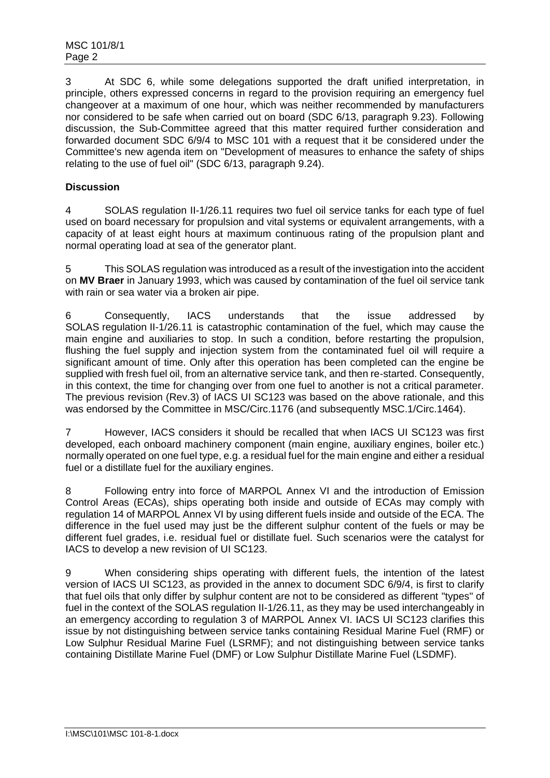3 At SDC 6, while some delegations supported the draft unified interpretation, in principle, others expressed concerns in regard to the provision requiring an emergency fuel changeover at a maximum of one hour, which was neither recommended by manufacturers nor considered to be safe when carried out on board (SDC 6/13, paragraph 9.23). Following discussion, the Sub-Committee agreed that this matter required further consideration and forwarded document SDC 6/9/4 to MSC 101 with a request that it be considered under the Committee's new agenda item on "Development of measures to enhance the safety of ships relating to the use of fuel oil" (SDC 6/13, paragraph 9.24).

## **Discussion**

4 SOLAS regulation II-1/26.11 requires two fuel oil service tanks for each type of fuel used on board necessary for propulsion and vital systems or equivalent arrangements, with a capacity of at least eight hours at maximum continuous rating of the propulsion plant and normal operating load at sea of the generator plant.

5 This SOLAS regulation was introduced as a result of the investigation into the accident on **MV Braer** in January 1993, which was caused by contamination of the fuel oil service tank with rain or sea water via a broken air pipe.

6 Consequently, IACS understands that the issue addressed by SOLAS regulation II-1/26.11 is catastrophic contamination of the fuel, which may cause the main engine and auxiliaries to stop. In such a condition, before restarting the propulsion, flushing the fuel supply and injection system from the contaminated fuel oil will require a significant amount of time. Only after this operation has been completed can the engine be supplied with fresh fuel oil, from an alternative service tank, and then re-started. Consequently, in this context, the time for changing over from one fuel to another is not a critical parameter. The previous revision (Rev.3) of IACS UI SC123 was based on the above rationale, and this was endorsed by the Committee in MSC/Circ.1176 (and subsequently MSC.1/Circ.1464).

7 However, IACS considers it should be recalled that when IACS UI SC123 was first developed, each onboard machinery component (main engine, auxiliary engines, boiler etc.) normally operated on one fuel type, e.g. a residual fuel for the main engine and either a residual fuel or a distillate fuel for the auxiliary engines.

8 Following entry into force of MARPOL Annex VI and the introduction of Emission Control Areas (ECAs), ships operating both inside and outside of ECAs may comply with regulation 14 of MARPOL Annex VI by using different fuels inside and outside of the ECA. The difference in the fuel used may just be the different sulphur content of the fuels or may be different fuel grades, i.e. residual fuel or distillate fuel. Such scenarios were the catalyst for IACS to develop a new revision of UI SC123.

9 When considering ships operating with different fuels, the intention of the latest version of IACS UI SC123, as provided in the annex to document SDC 6/9/4, is first to clarify that fuel oils that only differ by sulphur content are not to be considered as different "types" of fuel in the context of the SOLAS regulation II-1/26.11, as they may be used interchangeably in an emergency according to regulation 3 of MARPOL Annex VI. IACS UI SC123 clarifies this issue by not distinguishing between service tanks containing Residual Marine Fuel (RMF) or Low Sulphur Residual Marine Fuel (LSRMF); and not distinguishing between service tanks containing Distillate Marine Fuel (DMF) or Low Sulphur Distillate Marine Fuel (LSDMF).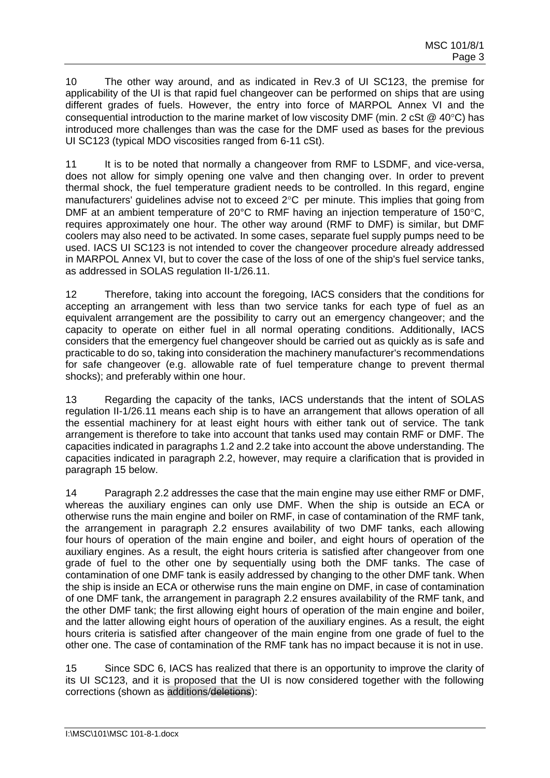10 The other way around, and as indicated in Rev.3 of UI SC123, the premise for applicability of the UI is that rapid fuel changeover can be performed on ships that are using different grades of fuels. However, the entry into force of MARPOL Annex VI and the consequential introduction to the marine market of low viscosity DMF (min. 2 cSt  $@$  40°C) has introduced more challenges than was the case for the DMF used as bases for the previous UI SC123 (typical MDO viscosities ranged from 6-11 cSt).

11 It is to be noted that normally a changeover from RMF to LSDMF, and vice-versa, does not allow for simply opening one valve and then changing over. In order to prevent thermal shock, the fuel temperature gradient needs to be controlled. In this regard, engine manufacturers' quidelines advise not to exceed  $2^{\circ}$ C per minute. This implies that going from DMF at an ambient temperature of 20 $^{\circ}$ C to RMF having an injection temperature of 150 $^{\circ}$ C, requires approximately one hour. The other way around (RMF to DMF) is similar, but DMF coolers may also need to be activated. In some cases, separate fuel supply pumps need to be used. IACS UI SC123 is not intended to cover the changeover procedure already addressed in MARPOL Annex VI, but to cover the case of the loss of one of the ship's fuel service tanks, as addressed in SOLAS regulation II-1/26.11.

12 Therefore, taking into account the foregoing, IACS considers that the conditions for accepting an arrangement with less than two service tanks for each type of fuel as an equivalent arrangement are the possibility to carry out an emergency changeover; and the capacity to operate on either fuel in all normal operating conditions. Additionally, IACS considers that the emergency fuel changeover should be carried out as quickly as is safe and practicable to do so, taking into consideration the machinery manufacturer's recommendations for safe changeover (e.g. allowable rate of fuel temperature change to prevent thermal shocks); and preferably within one hour.

13 Regarding the capacity of the tanks, IACS understands that the intent of SOLAS regulation II-1/26.11 means each ship is to have an arrangement that allows operation of all the essential machinery for at least eight hours with either tank out of service. The tank arrangement is therefore to take into account that tanks used may contain RMF or DMF. The capacities indicated in paragraphs 1.2 and 2.2 take into account the above understanding. The capacities indicated in paragraph 2.2, however, may require a clarification that is provided in paragraph 15 below.

14 Paragraph 2.2 addresses the case that the main engine may use either RMF or DMF, whereas the auxiliary engines can only use DMF. When the ship is outside an ECA or otherwise runs the main engine and boiler on RMF, in case of contamination of the RMF tank, the arrangement in paragraph 2.2 ensures availability of two DMF tanks, each allowing four hours of operation of the main engine and boiler, and eight hours of operation of the auxiliary engines. As a result, the eight hours criteria is satisfied after changeover from one grade of fuel to the other one by sequentially using both the DMF tanks. The case of contamination of one DMF tank is easily addressed by changing to the other DMF tank. When the ship is inside an ECA or otherwise runs the main engine on DMF, in case of contamination of one DMF tank, the arrangement in paragraph 2.2 ensures availability of the RMF tank, and the other DMF tank; the first allowing eight hours of operation of the main engine and boiler, and the latter allowing eight hours of operation of the auxiliary engines. As a result, the eight hours criteria is satisfied after changeover of the main engine from one grade of fuel to the other one. The case of contamination of the RMF tank has no impact because it is not in use.

15 Since SDC 6, IACS has realized that there is an opportunity to improve the clarity of its UI SC123, and it is proposed that the UI is now considered together with the following corrections (shown as additions/deletions):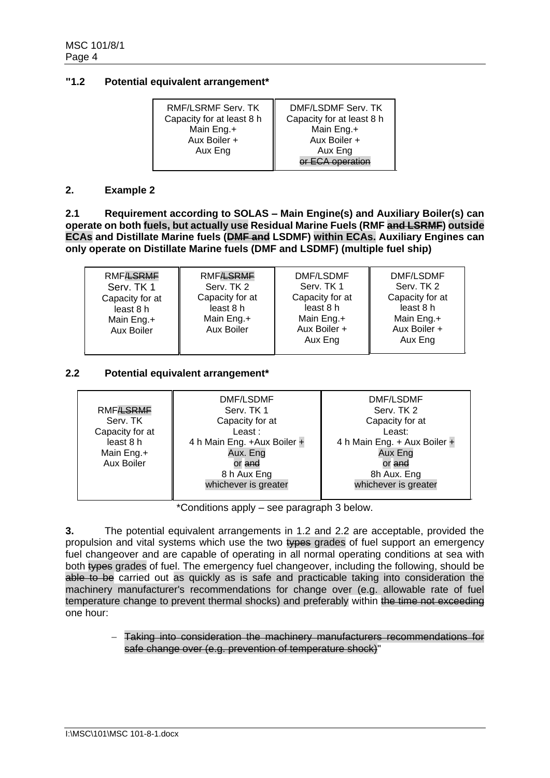### **"1.2 Potential equivalent arrangement\***

| RMF/LSRMF Serv. TK<br>Capacity for at least 8 h | DMF/LSDMF Serv. TK<br>Capacity for at least 8 h |  |
|-------------------------------------------------|-------------------------------------------------|--|
| Main Eng.+                                      | Main Eng.+                                      |  |
| Aux Boiler +                                    | Aux Boiler +                                    |  |
| Aux Eng                                         | Aux Eng                                         |  |
|                                                 | $\bigcap$ operation                             |  |

#### **2. Example 2**

**2.1 Requirement according to SOLAS – Main Engine(s) and Auxiliary Boiler(s) can operate on both fuels, but actually use Residual Marine Fuels (RMF and LSRMF) outside ECAs and Distillate Marine fuels (DMF and LSDMF) within ECAs. Auxiliary Engines can only operate on Distillate Marine fuels (DMF and LSDMF) (multiple fuel ship)**

| <b>RMF<del>/LSRMF</del></b><br><b>RMFASRME</b><br>Serv. TK 2<br>Serv. TK 1<br>Capacity for at<br>Capacity for at<br>least 8 h<br>least 8 h<br>Main Eng.+<br>Main Eng.+<br>Aux Boiler<br>Aux Boiler | DMF/LSDMF<br>Serv. TK 1<br>Capacity for at<br>least 8 h<br>Main Eng.+<br>Aux Boiler +<br>Aux Eng | DMF/LSDMF<br>Serv. TK 2<br>Capacity for at<br>least 8 h<br>Main Eng.+<br>Aux Boiler +<br>Aux Eng |
|----------------------------------------------------------------------------------------------------------------------------------------------------------------------------------------------------|--------------------------------------------------------------------------------------------------|--------------------------------------------------------------------------------------------------|
|----------------------------------------------------------------------------------------------------------------------------------------------------------------------------------------------------|--------------------------------------------------------------------------------------------------|--------------------------------------------------------------------------------------------------|

### **2.2 Potential equivalent arrangement\***

| <b>RMFASRME</b><br>Serv. TK<br>Capacity for at<br>least 8 h<br>Main Eng.+<br>Aux Boiler | DMF/LSDMF<br>Serv. TK 1<br>Capacity for at<br>Least:<br>4 h Main Eng. +Aux Boiler +<br>Aux. Eng<br>or and<br>8 h Aux Eng<br>whichever is greater | DMF/LSDMF<br>Serv. TK 2<br>Capacity for at<br>Least:<br>4 h Main Eng. + Aux Boiler +<br>Aux Eng<br>or <del>and</del><br>8h Aux. Eng<br>whichever is greater |
|-----------------------------------------------------------------------------------------|--------------------------------------------------------------------------------------------------------------------------------------------------|-------------------------------------------------------------------------------------------------------------------------------------------------------------|
|                                                                                         |                                                                                                                                                  |                                                                                                                                                             |

\*Conditions apply – see paragraph 3 below.

**3.** The potential equivalent arrangements in 1.2 and 2.2 are acceptable, provided the propulsion and vital systems which use the two types grades of fuel support an emergency fuel changeover and are capable of operating in all normal operating conditions at sea with both types grades of fuel. The emergency fuel changeover, including the following, should be able to be carried out as quickly as is safe and practicable taking into consideration the machinery manufacturer's recommendations for change over (e.g. allowable rate of fuel temperature change to prevent thermal shocks) and preferably within the time not exceeding one hour:

> − Taking into consideration the machinery manufacturers recommendations for safe change over (e.g. prevention of temperature shock)"